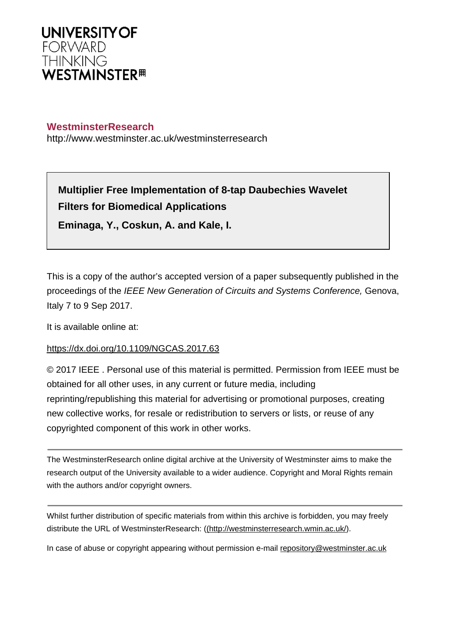

# **WestminsterResearch**

http://www.westminster.ac.uk/westminsterresearch

**Multiplier Free Implementation of 8-tap Daubechies Wavelet Filters for Biomedical Applications Eminaga, Y., Coskun, A. and Kale, I.**

This is a copy of the author's accepted version of a paper subsequently published in the proceedings of the IEEE New Generation of Circuits and Systems Conference, Genova, Italy 7 to 9 Sep 2017.

It is available online at:

# <https://dx.doi.org/10.1109/NGCAS.2017.63>

© 2017 IEEE . Personal use of this material is permitted. Permission from IEEE must be obtained for all other uses, in any current or future media, including reprinting/republishing this material for advertising or promotional purposes, creating new collective works, for resale or redistribution to servers or lists, or reuse of any copyrighted component of this work in other works.

The WestminsterResearch online digital archive at the University of Westminster aims to make the research output of the University available to a wider audience. Copyright and Moral Rights remain with the authors and/or copyright owners.

Whilst further distribution of specific materials from within this archive is forbidden, you may freely distribute the URL of WestminsterResearch: [\(\(http://westminsterresearch.wmin.ac.uk/](http://westminsterresearch.wmin.ac.uk/)).

In case of abuse or copyright appearing without permission e-mail <repository@westminster.ac.uk>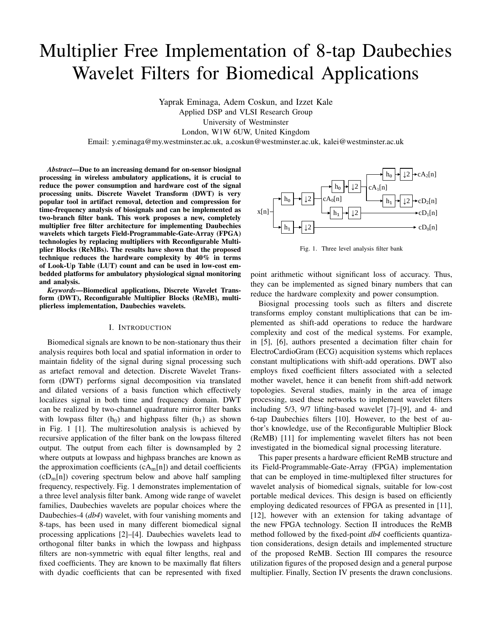# Multiplier Free Implementation of 8-tap Daubechies Wavelet Filters for Biomedical Applications

Yaprak Eminaga, Adem Coskun, and Izzet Kale Applied DSP and VLSI Research Group University of Westminster London, W1W 6UW, United Kingdom Email: y.eminaga@my.westminster.ac.uk, a.coskun@westminster.ac.uk, kalei@westminster.ac.uk

*Abstract*—Due to an increasing demand for on-sensor biosignal processing in wireless ambulatory applications, it is crucial to reduce the power consumption and hardware cost of the signal processing units. Discrete Wavelet Transform (DWT) is very popular tool in artifact removal, detection and compression for time-frequency analysis of biosignals and can be implemented as two-branch filter bank. This work proposes a new, completely multiplier free filter architecture for implementing Daubechies wavelets which targets Field-Programmable-Gate-Array (FPGA) technologies by replacing multipliers with Reconfigurable Multiplier Blocks (ReMBs). The results have shown that the proposed technique reduces the hardware complexity by 40% in terms of Look-Up Table (LUT) count and can be used in low-cost embedded platforms for ambulatory physiological signal monitoring and analysis.

*Keywords*—Biomedical applications, Discrete Wavelet Transform (DWT), Reconfigurable Multiplier Blocks (ReMB), multiplierless implementation, Daubechies wavelets.

#### I. INTRODUCTION

Biomedical signals are known to be non-stationary thus their analysis requires both local and spatial information in order to maintain fidelity of the signal during signal processing such as artefact removal and detection. Discrete Wavelet Transform (DWT) performs signal decomposition via translated and dilated versions of a basis function which effectively localizes signal in both time and frequency domain. DWT can be realized by two-channel quadrature mirror filter banks with lowpass filter  $(h_0)$  and highpass filter  $(h_1)$  as shown in Fig. 1 [1]. The multiresolution analysis is achieved by recursive application of the filter bank on the lowpass filtered output. The output from each filter is downsampled by 2 where outputs at lowpass and highpass branches are known as the approximation coefficients  $(cA_m[n])$  and detail coefficients  $(cD_m[n])$  covering spectrum below and above half sampling frequency, respectively. Fig. 1 demonstrates implementation of a three level analysis filter bank. Among wide range of wavelet families, Daubechies wavelets are popular choices where the Daubechies-4 (*db4*) wavelet, with four vanishing moments and 8-taps, has been used in many different biomedical signal processing applications [2]–[4]. Daubechies wavelets lead to orthogonal filter banks in which the lowpass and highpass filters are non-symmetric with equal filter lengths, real and fixed coefficients. They are known to be maximally flat filters with dyadic coefficients that can be represented with fixed



Fig. 1. Three level analysis filter bank

point arithmetic without significant loss of accuracy. Thus, they can be implemented as signed binary numbers that can reduce the hardware complexity and power consumption.

Biosignal processing tools such as filters and discrete transforms employ constant multiplications that can be implemented as shift-add operations to reduce the hardware complexity and cost of the medical systems. For example, in [5], [6], authors presented a decimation filter chain for ElectroCardioGram (ECG) acquisition systems which replaces constant multiplications with shift-add operations. DWT also employs fixed coefficient filters associated with a selected mother wavelet, hence it can benefit from shift-add network topologies. Several studies, mainly in the area of image processing, used these networks to implement wavelet filters including 5/3, 9/7 lifting-based wavelet [7]–[9], and 4- and 6-tap Daubechies filters [10]. However, to the best of author's knowledge, use of the Reconfigurable Multiplier Block (ReMB) [11] for implementing wavelet filters has not been investigated in the biomedical signal processing literature.

This paper presents a hardware efficient ReMB structure and its Field-Programmable-Gate-Array (FPGA) implementation that can be employed in time-multiplexed filter structures for wavelet analysis of biomedical signals, suitable for low-cost portable medical devices. This design is based on efficiently employing dedicated resources of FPGA as presented in [11], [12], however with an extension for taking advantage of the new FPGA technology. Section II introduces the ReMB method followed by the fixed-point *db4* coefficients quantization considerations, design details and implemented structure of the proposed ReMB. Section III compares the resource utilization figures of the proposed design and a general purpose multiplier. Finally, Section IV presents the drawn conclusions.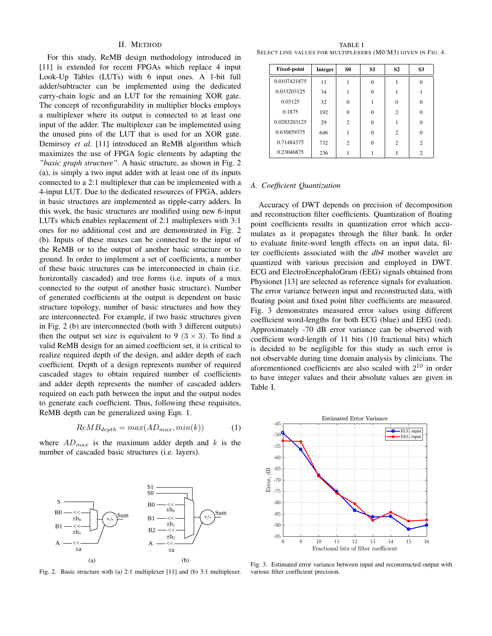# II. METHOD

For this study, ReMB design methodology introduced in [11] is extended for recent FPGAs which replace 4 input Look-Up Tables (LUTs) with 6 input ones. A 1-bit full adder/subtracter can be implemented using the dedicated carry-chain logic and an LUT for the remaining XOR gate. The concept of reconfigurability in multiplier blocks employs a multiplexer where its output is connected to at least one input of the adder. The multiplexer can be implemented using the unused pins of the LUT that is used for an XOR gate. Demirsoy *et al.* [11] introduced an ReMB algorithm which maximizes the use of FPGA logic elements by adapting the *"basic graph structure"*. A basic structure, as shown in Fig. 2 (a), is simply a two input adder with at least one of its inputs connected to a 2:1 multiplexer that can be implemented with a 4-input LUT. Due to the dedicated resources of FPGA, adders in basic structures are implemented as ripple-carry adders. In this work, the basic structures are modified using new 6-input LUTs which enables replacement of 2:1 multiplexers with 3:1 ones for no additional cost and are demonstrated in Fig. 2 (b). Inputs of these muxes can be connected to the input of the ReMB or to the output of another basic structure or to ground. In order to implement a set of coefficients, a number of these basic structures can be interconnected in chain (i.e. horizontally cascaded) and tree forms (i.e. inputs of a mux connected to the output of another basic structure). Number of generated coefficients at the output is dependent on basic structure topology, number of basic structures and how they are interconnected. For example, if two basic structures given in Fig. 2 (b) are interconnected (both with 3 different outputs) then the output set size is equivalent to 9 ( $3 \times 3$ ). To find a valid ReMB design for an aimed coefficient set, it is critical to realize required depth of the design, and adder depth of each coefficient. Depth of a design represents number of required cascaded stages to obtain required number of coefficients and adder depth represents the number of cascaded adders required on each path between the input and the output nodes to generate each coefficient. Thus, following these requisites, ReMB depth can be generalized using Eqn. 1.

$$
ReMB_{depth} = max(AD_{max}, min(k))
$$
 (1)

where  $AD_{max}$  is the maximum adder depth and k is the number of cascaded basic structures (i.e. layers).



Fig. 2. Basic structure with (a) 2:1 multiplexer [11] and (b) 3:1 multiplexer.

TABLE I SELECT LINE VALUES FOR MULTIPLEXERS (M0:M3) GIVEN IN FIG. 4.

| <b>Fixed-point</b> | <b>Integer</b> | S <sub>0</sub> | S <sub>1</sub> | S <sub>2</sub> | S <sub>3</sub> |
|--------------------|----------------|----------------|----------------|----------------|----------------|
| 0.0107421875       | 11             |                | 0              |                |                |
| 0.033203125        | 34             |                | 0              |                |                |
| 0.03125            | 32             | 0              |                | $\Omega$       | 0              |
| 0.1875             | 192            | 0              | 0              | $\mathfrak{D}$ | $\Omega$       |
| 0.0283203125       | 29             | $\overline{c}$ | 0              |                | 0              |
| 0.630859375        | 646            |                | 0              | $\mathfrak{D}$ | 0              |
| 0.71484375         | 732            | $\overline{c}$ | 0              | $\overline{c}$ | $\mathfrak{D}$ |
| 0.23046875         | 236            |                |                |                | $\overline{c}$ |

#### *A. Coefficient Quantization*

Accuracy of DWT depends on precision of decomposition and reconstruction filter coefficients. Quantization of floating point coefficients results in quantization error which accumulates as it propagates through the filter bank. In order to evaluate finite-word length effects on an input data, filter coefficients associated with the *db4* mother wavelet are quantized with various precision and employed in DWT. ECG and ElectroEncephaloGram (EEG) signals obtained from Physionet [13] are selected as reference signals for evaluation. The error variance between input and reconstructed data, with floating point and fixed point filter coefficients are measured. Fig. 3 demonstrates measured error values using different coefficient word-lengths for both ECG (blue) and EEG (red). Approximately -70 dB error variance can be observed with coefficient word-length of 11 bits (10 fractional bits) which is decided to be negligible for this study as such error is not observable during time domain analysis by clinicians. The aforementioned coefficients are also scaled with  $2^{10}$  in order to have integer values and their absolute values are given in Table I.



Fig. 3. Estimated error variance between input and reconstructed output with various filter coefficient precision.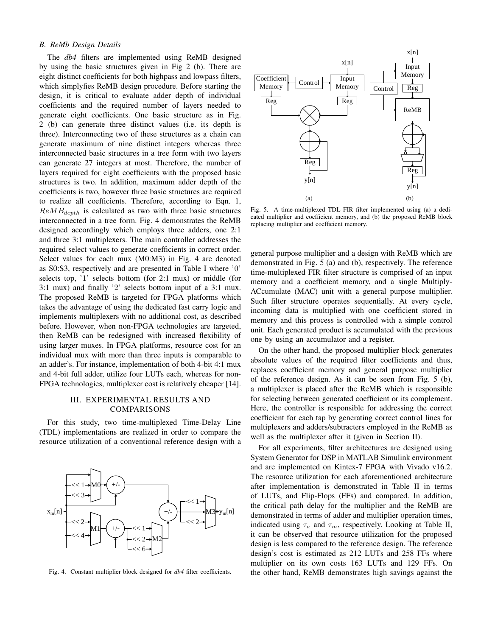# *B. ReMb Design Details*

The *db4* filters are implemented using ReMB designed by using the basic structures given in Fig 2 (b). There are eight distinct coefficients for both highpass and lowpass filters, which simplyfies ReMB design procedure. Before starting the design, it is critical to evaluate adder depth of individual coefficients and the required number of layers needed to generate eight coefficients. One basic structure as in Fig. 2 (b) can generate three distinct values (i.e. its depth is three). Interconnecting two of these structures as a chain can generate maximum of nine distinct integers whereas three interconnected basic structures in a tree form with two layers can generate 27 integers at most. Therefore, the number of layers required for eight coefficients with the proposed basic structures is two. In addition, maximum adder depth of the coefficients is two, however three basic structures are required to realize all coefficients. Therefore, according to Eqn. 1,  $ReMB_{depth}$  is calculated as two with three basic structures interconnected in a tree form. Fig. 4 demonstrates the ReMB designed accordingly which employs three adders, one 2:1 and three 3:1 multiplexers. The main controller addresses the required select values to generate coefficients in correct order. Select values for each mux (M0:M3) in Fig. 4 are denoted as S0:S3, respectively and are presented in Table I where '0' selects top, '1' selects bottom (for 2:1 mux) or middle (for 3:1 mux) and finally '2' selects bottom input of a 3:1 mux. The proposed ReMB is targeted for FPGA platforms which takes the advantage of using the dedicated fast carry logic and implements multiplexers with no additional cost, as described before. However, when non-FPGA technologies are targeted, then ReMB can be redesigned with increased flexibility of using larger muxes. In FPGA platforms, resource cost for an individual mux with more than three inputs is comparable to an adder's. For instance, implementation of both 4-bit 4:1 mux and 4-bit full adder, utilize four LUTs each, whereas for non-FPGA technologies, multiplexer cost is relatively cheaper [14].

# III. EXPERIMENTAL RESULTS AND COMPARISONS

For this study, two time-multiplexed Time-Delay Line (TDL) implementations are realized in order to compare the resource utilization of a conventional reference design with a



Fig. 4. Constant multiplier block designed for *db4* filter coefficients.



Fig. 5. A time-multiplexed TDL FIR filter implemented using (a) a dedicated multiplier and coefficient memory, and (b) the proposed ReMB block replacing multiplier and coefficient memory.

general purpose multiplier and a design with ReMB which are demonstrated in Fig. 5 (a) and (b), respectively. The reference time-multiplexed FIR filter structure is comprised of an input memory and a coefficient memory, and a single Multiply-ACcumulate (MAC) unit with a general purpose multiplier. Such filter structure operates sequentially. At every cycle, incoming data is multiplied with one coefficient stored in memory and this process is controlled with a simple control unit. Each generated product is accumulated with the previous one by using an accumulator and a register.

On the other hand, the proposed multiplier block generates absolute values of the required filter coefficients and thus, replaces coefficient memory and general purpose multiplier of the reference design. As it can be seen from Fig. 5 (b), a multiplexer is placed after the ReMB which is responsible for selecting between generated coefficient or its complement. Here, the controller is responsible for addressing the correct coefficient for each tap by generating correct control lines for multiplexers and adders/subtracters employed in the ReMB as well as the multiplexer after it (given in Section II).

For all experiments, filter architectures are designed using System Generator for DSP in MATLAB Simulink environment and are implemented on Kintex-7 FPGA with Vivado v16.2. The resource utilization for each aforementioned architecture after implementation is demonstrated in Table II in terms of LUTs, and Flip-Flops (FFs) and compared. In addition, the critical path delay for the multiplier and the ReMB are demonstrated in terms of adder and multiplier operation times, indicated using  $\tau_a$  and  $\tau_m$ , respectively. Looking at Table II, it can be observed that resource utilization for the proposed design is less compared to the reference design. The reference design's cost is estimated as 212 LUTs and 258 FFs where multiplier on its own costs 163 LUTs and 129 FFs. On the other hand, ReMB demonstrates high savings against the